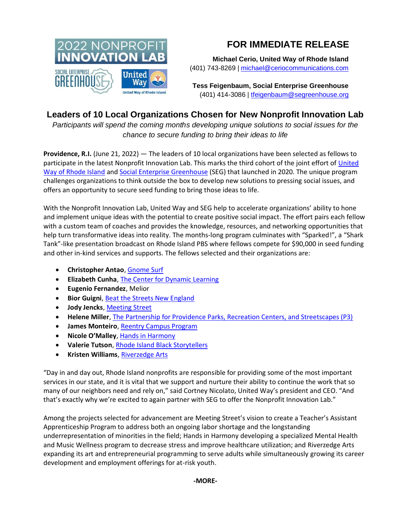

# **FOR IMMEDIATE RELEASE**

**Michael Cerio, United Way of Rhode Island** (401) 743-8269 | [michael@ceriocommunications.com](mailto:michael@ceriocommunications.com)

**Tess Feigenbaum, Social Enterprise Greenhouse** (401) 414-3086 | [tfeigenbaum@segreenhouse.org](mailto:tfeigenbaum@segreenhouse.org)

## **Leaders of 10 Local Organizations Chosen for New Nonprofit Innovation Lab**

*Participants will spend the coming months developing unique solutions to social issues for the chance to secure funding to bring their ideas to life*

**Providence, R.I.** (June 21, 2022) — The leaders of 10 local organizations have been selected as fellows to participate in the latest Nonprofit Innovation Lab. This marks the third cohort of the joint effort of [United](https://www.unitedwayri.org/)  [Way of Rhode Island](https://www.unitedwayri.org/) and [Social Enterprise Greenhouse](http://www.segreenhouse.org/) (SEG) that launched in 2020. The unique program challenges organizations to think outside the box to develop new solutions to pressing social issues, and offers an opportunity to secure seed funding to bring those ideas to life.

With the Nonprofit Innovation Lab, United Way and SEG help to accelerate organizations' ability to hone and implement unique ideas with the potential to create positive social impact. The effort pairs each fellow with a custom team of coaches and provides the knowledge, resources, and networking opportunities that help turn transformative ideas into reality. The months-long program culminates with "Sparked!", a "Shark Tank"-like presentation broadcast on Rhode Island PBS where fellows compete for \$90,000 in seed funding and other in-kind services and supports. The fellows selected and their organizations are:

- **Christopher Antao**, [Gnome Surf](https://www.gnomesurf.com/)
- **Elizabeth Cunha**[, The Center for Dynamic Learning](https://cdlri.org/)
- **Eugenio Fernandez**, Melior
- **Bior Guigni[, Beat the Streets New England](https://www.btsne.org/)**
- **Jody Jencks**[, Meeting Street](https://www.meetingstreet.org/)
- **Helene Miller**, [The Partnership for Providence Parks, Recreation Centers, and Streetscapes \(P3\)](https://www.providenceparks.org/)
- **James Monteiro**, [Reentry Campus Program](https://www.reentrycampusprogram.org/)
- **Nicole O'Malley**[, Hands in Harmony](https://www.hihri.org/)
- **Valerie Tutson**[, Rhode Island Black Storytellers](https://ribsfest.org/)
- **Kristen Williams**[, Riverzedge Arts](http://riverzedgearts.org/)

"Day in and day out, Rhode Island nonprofits are responsible for providing some of the most important services in our state, and it is vital that we support and nurture their ability to continue the work that so many of our neighbors need and rely on," said Cortney Nicolato, United Way's president and CEO. "And that's exactly why we're excited to again partner with SEG to offer the Nonprofit Innovation Lab."

Among the projects selected for advancement are Meeting Street's vision to create a Teacher's Assistant Apprenticeship Program to address both an ongoing labor shortage and the longstanding underrepresentation of minorities in the field; Hands in Harmony developing a specialized Mental Health and Music Wellness program to decrease stress and improve healthcare utilization; and Riverzedge Arts expanding its art and entrepreneurial programming to serve adults while simultaneously growing its career development and employment offerings for at-risk youth.